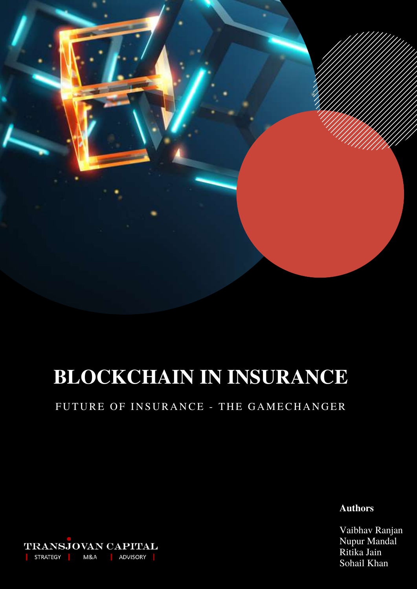

# **BLOCKCHAIN IN INSURANCE**

# FUTURE OF INSURANCE - THE GAMECHANGER

**Authors**

Vaibhav Ranjan Nupur Mandal Ritika Jain Sohail Khan

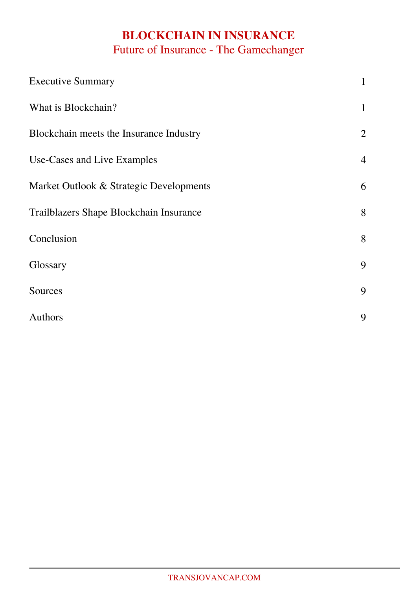# **BLOCKCHAIN IN INSURANCE** Future of Insurance - The Gamechanger

| <b>Executive Summary</b>                | $\mathbf 1$    |
|-----------------------------------------|----------------|
| What is Blockchain?                     | $\mathbf{1}$   |
| Blockchain meets the Insurance Industry | $\overline{2}$ |
| Use-Cases and Live Examples             | $\overline{4}$ |
| Market Outlook & Strategic Developments | 6              |
| Trailblazers Shape Blockchain Insurance | 8              |
| Conclusion                              | 8              |
| Glossary                                | 9              |
| Sources                                 | 9              |
| Authors                                 | 9              |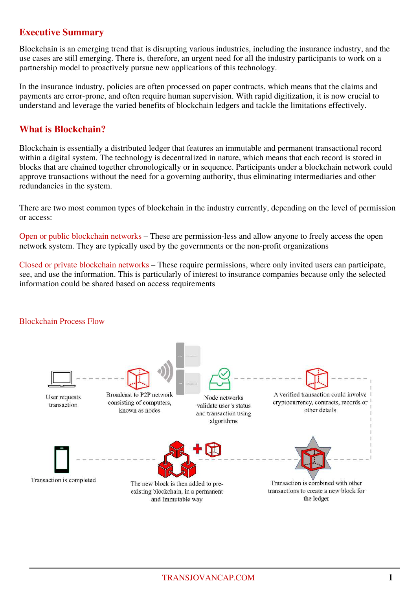# **Executive Summary**

Blockchain is an emerging trend that is disrupting various industries, including the insurance industry, and the use cases are still emerging. There is, therefore, an urgent need for all the industry participants to work on a partnership model to proactively pursue new applications of this technology.

In the insurance industry, policies are often processed on paper contracts, which means that the claims and payments are error-prone, and often require human supervision. With rapid digitization, it is now crucial to understand and leverage the varied benefits of blockchain ledgers and tackle the limitations effectively.

## **What is Blockchain?**

Blockchain is essentially a distributed ledger that features an immutable and permanent transactional record within a digital system. The technology is decentralized in nature, which means that each record is stored in blocks that are chained together chronologically or in sequence. Participants under a blockchain network could approve transactions without the need for a governing authority, thus eliminating intermediaries and other redundancies in the system.

There are two most common types of blockchain in the industry currently, depending on the level of permission or access:

Open or public blockchain networks – These are permission-less and allow anyone to freely access the open network system. They are typically used by the governments or the non-profit organizations

Closed or private blockchain networks – These require permissions, where only invited users can participate, see, and use the information. This is particularly of interest to insurance companies because only the selected information could be shared based on access requirements

#### Blockchain Process Flow

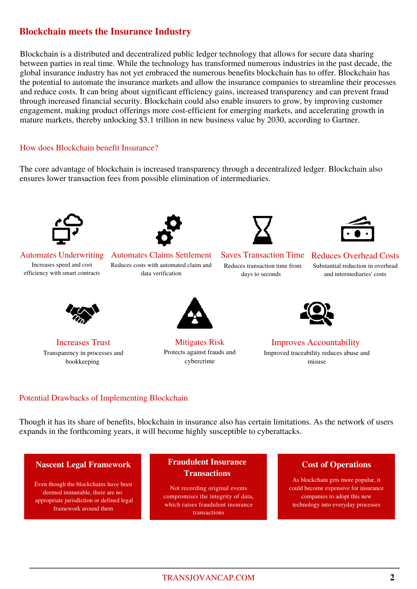# **Blockchain meets the Insurance Industry**

Blockchain is a distributed and decentralized public ledger technology that allows for secure data sharing between parties in real time. While the technology has transformed numerous industries in the past decade, the global insurance industry has not yet embraced the numerous benefits blockchain has to offer. Blockchain has the potential to automate the insurance markets and allow the insurance companies to streamline their processes and reduce costs. It can bring about significant efficiency gains, increased transparency and can prevent fraud through increased financial security. Blockchain could also enable insurers to grow, by improving customer engagement, making product offerings more cost-efficient for emerging markets, and accelerating growth in mature markets, thereby unlocking \$3.1 trillion in new business value by 2030, according to Gartner.

#### How does Blockchain benefit Insurance?

The core advantage of blockchain is increased transparency through a decentralized ledger. Blockchain also ensures lower transaction fees from possible elimination of intermediaries.



Automates Underwriting Increases speed and cost efficiency with smart contracts



Automates Claims Settlement

Reduces costs with automated claim and data verification



Saves Transaction Time

Reduces transaction time from days to seconds



### Reduces Overhead Costs

Substantial reduction in overhead and intermediaries' costs



Increases Trust Transparency in processes and bookkeeping



Mitigates Risk Protects against frauds and cybercrime



Improves Accountability Improved traceability reduces abuse and misuse

#### Potential Drawbacks of Implementing Blockchain

Though it has its share of benefits, blockchain in insurance also has certain limitations. As the network of users expands in the forthcoming years, it will become highly susceptible to cyberattacks.

Even though the blockchains have been deemed immutable, there are no appropriate jurisdiction or defined legal framework around them

#### **Nascent Legal Framework <b>Cost Fraudulent Insurance Cost of Operations Transactions**

Not recording original events compromises the integrity of data, which raises fraudulent insurance transactions

As blockchain gets more popular, it could become expensive for insurance companies to adopt this new technology into everyday processes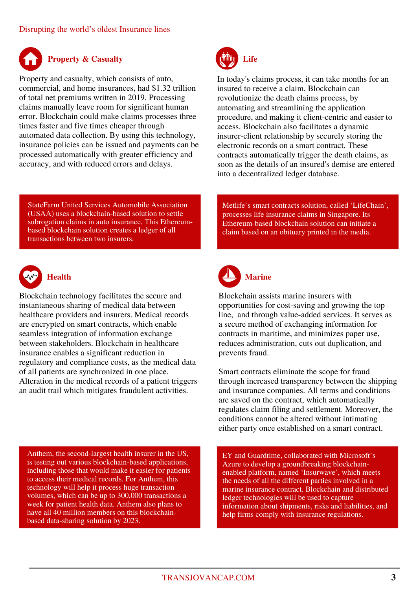

Property and casualty, which consists of auto, commercial, and home insurances, had \$1.32 trillion of total net premiums written in 2019. Processing claims manually leave room for significant human error. Blockchain could make claims processes three times faster and five times cheaper through automated data collection. By using this technology, insurance policies can be issued and payments can be processed automatically with greater efficiency and accuracy, and with reduced errors and delays.

StateFarm United Services Automobile Association (USAA) uses a blockchain-based solution to settle subrogation claims in auto insurance. This Ethereumbased blockchain solution creates a ledger of all transactions between two insurers.



# **Health**

Blockchain technology facilitates the secure and instantaneous sharing of medical data between healthcare providers and insurers. Medical records are encrypted on smart contracts, which enable seamless integration of information exchange between stakeholders. Blockchain in healthcare insurance enables a significant reduction in regulatory and compliance costs, as the medical data of all patients are synchronized in one place. Alteration in the medical records of a patient triggers an audit trail which mitigates fraudulent activities.

Anthem, the second-largest health insurer in the US, is testing out various blockchain-based applications, including those that would make it easier for patients to access their medical records. For Anthem, this technology will help it process huge transaction volumes, which can be up to 300,000 transactions a week for patient health data. Anthem also plans to have all 40 million members on this blockchainbased data-sharing solution by 2023.



In today's claims process, it can take months for an insured to receive a claim. Blockchain can revolutionize the death claims process, by automating and streamlining the application procedure, and making it client-centric and easier to access. Blockchain also facilitates a dynamic insurer-client relationship by securely storing the electronic records on a smart contract. These contracts automatically trigger the death claims, as soon as the details of an insured's demise are entered into a decentralized ledger database.

Metlife's smart contracts solution, called 'LifeChain', processes life insurance claims in Singapore. Its Ethereum-based blockchain solution can initiate a claim based on an obituary printed in the media.



Blockchain assists marine insurers with opportunities for cost-saving and growing the top line, and through value-added services. It serves as a secure method of exchanging information for contracts in maritime, and minimizes paper use, reduces administration, cuts out duplication, and prevents fraud.

Smart contracts eliminate the scope for fraud through increased transparency between the shipping and insurance companies. All terms and conditions are saved on the contract, which automatically regulates claim filing and settlement. Moreover, the conditions cannot be altered without intimating either party once established on a smart contract.

EY and Guardtime, collaborated with Microsoft's Azure to develop a groundbreaking blockchainenabled platform, named 'Insurwave', which meets the needs of all the different parties involved in a marine insurance contract. Blockchain and distributed ledger technologies will be used to capture information about shipments, risks and liabilities, and help firms comply with insurance regulations.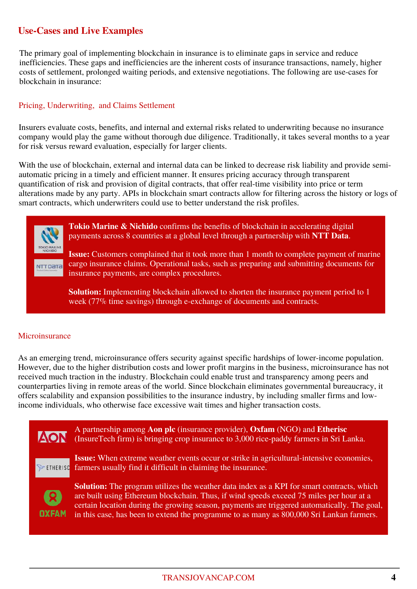# **Use-Cases and Live Examples**

The primary goal of implementing blockchain in insurance is to eliminate gaps in service and reduce inefficiencies. These gaps and inefficiencies are the inherent costs of insurance transactions, namely, higher costs of settlement, prolonged waiting periods, and extensive negotiations. The following are use-cases for blockchain in insurance:

#### Pricing, Underwriting, and Claims Settlement

Insurers evaluate costs, benefits, and internal and external risks related to underwriting because no insurance company would play the game without thorough due diligence. Traditionally, it takes several months to a year for risk versus reward evaluation, especially for larger clients.

With the use of blockchain, external and internal data can be linked to decrease risk liability and provide semiautomatic pricing in a timely and efficient manner. It ensures pricing accuracy through transparent quantification of risk and provision of digital contracts, that offer real-time visibility into price or term alterations made by any party. APIs in blockchain smart contracts allow for filtering across the history or logs of smart contracts, which underwriters could use to better understand the risk profiles.



**Tokio Marine & Nichido** confirms the benefits of blockchain in accelerating digital payments across 8 countries at a global level through a partnership with **NTT Data**.

**Issue:** Customers complained that it took more than 1 month to complete payment of marine cargo insurance claims. Operational tasks, such as preparing and submitting documents for insurance payments, are complex procedures.

**Solution:** Implementing blockchain allowed to shorten the insurance payment period to 1 week (77% time savings) through e-exchange of documents and contracts.

#### **Microinsurance**

As an emerging trend, microinsurance offers security against specific hardships of lower-income population. However, due to the higher distribution costs and lower profit margins in the business, microinsurance has not received much traction in the industry. Blockchain could enable trust and transparency among peers and counterparties living in remote areas of the world. Since blockchain eliminates governmental bureaucracy, it offers scalability and expansion possibilities to the insurance industry, by including smaller firms and lowincome individuals, who otherwise face excessive wait times and higher transaction costs.

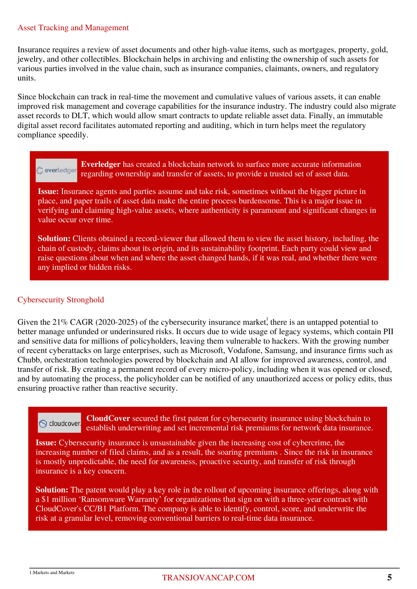#### Asset Tracking and Management

Insurance requires a review of asset documents and other high-value items, such as mortgages, property, gold, jewelry, and other collectibles. Blockchain helps in archiving and enlisting the ownership of such assets for various parties involved in the value chain, such as insurance companies, claimants, owners, and regulatory units.

Since blockchain can track in real-time the movement and cumulative values of various assets, it can enable improved risk management and coverage capabilities for the insurance industry. The industry could also migrate asset records to DLT, which would allow smart contracts to update reliable asset data. Finally, an immutable digital asset record facilitates automated reporting and auditing, which in turn helps meet the regulatory compliance speedily.

**Everledger** has created a blockchain network to surface more accurate information everledger regarding ownership and transfer of assets, to provide a trusted set of asset data.

**Issue:** Insurance agents and parties assume and take risk, sometimes without the bigger picture in place, and paper trails of asset data make the entire process burdensome. This is a major issue in verifying and claiming high-value assets, where authenticity is paramount and significant changes in value occur over time.

**Solution:** Clients obtained a record-viewer that allowed them to view the asset history, including, the chain of custody, claims about its origin, and its sustainability footprint. Each party could view and raise questions about when and where the asset changed hands, if it was real, and whether there were any implied or hidden risks.

#### Cybersecurity Stronghold

Given the  $21\%$  CAGR (2020-2025) of the cybersecurity insurance market, there is an untapped potential to better manage unfunded or underinsured risks. It occurs due to wide usage of legacy systems, which contain PII and sensitive data for millions of policyholders, leaving them vulnerable to hackers. With the growing number of recent cyberattacks on large enterprises, such as Microsoft, Vodafone, Samsung, and insurance firms such as Chubb, orchestration technologies powered by blockchain and AI allow for improved awareness, control, and transfer of risk. By creating a permanent record of every micro-policy, including when it was opened or closed, and by automating the process, the policyholder can be notified of any unauthorized access or policy edits, thus ensuring proactive rather than reactive security.

**CloudCover** secured the first patent for cybersecurity insurance using blockchain to **S** cloudcover. establish underwriting and set incremental risk premiums for network data insurance.

**Issue:** Cybersecurity insurance is unsustainable given the increasing cost of cybercrime, the increasing number of filed claims, and as a result, the soaring premiums . Since the risk in insurance is mostly unpredictable, the need for awareness, proactive security, and transfer of risk through insurance is a key concern.

**Solution:** The patent would play a key role in the rollout of upcoming insurance offerings, along with a \$1 million 'Ransomware Warranty' for organizations that sign on with a three-year contract with CloudCover's CC/B1 Platform. The company is able to identify, control, score, and underwrite the risk at a granular level, removing conventional barriers to real-time data insurance.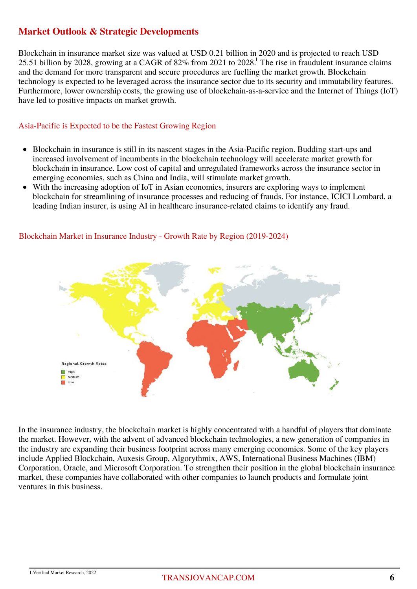# **Market Outlook & Strategic Developments**

Blockchain in insurance market size was valued at USD 0.21 billion in 2020 and is projected to reach USD 25.51 billion by 2028, growing at a CAGR of 82% from 2021 to 2028.<sup>1</sup> The rise in fraudulent insurance claims and the demand for more transparent and secure procedures are fuelling the market growth. Blockchain technology is expected to be leveraged across the insurance sector due to its security and immutability features. Furthermore, lower ownership costs, the growing use of blockchain-as-a-service and the Internet of Things (IoT) have led to positive impacts on market growth.

#### Asia-Pacific is Expected to be the Fastest Growing Region

- Blockchain in insurance is still in its nascent stages in the Asia-Pacific region. Budding start-ups and increased involvement of incumbents in the blockchain technology will accelerate market growth for blockchain in insurance. Low cost of capital and unregulated frameworks across the insurance sector in emerging economies, such as China and India, will stimulate market growth.
- With the increasing adoption of IoT in Asian economies, insurers are exploring ways to implement  $\bullet$ blockchain for streamlining of insurance processes and reducing of frauds. For instance, ICICI Lombard, a leading Indian insurer, is using AI in healthcare insurance-related claims to identify any fraud.



#### Blockchain Market in Insurance Industry - Growth Rate by Region (2019-2024)

In the insurance industry, the blockchain market is highly concentrated with a handful of players that dominate the market. However, with the advent of advanced blockchain technologies, a new generation of companies in the industry are expanding their business footprint across many emerging economies. Some of the key players include Applied Blockchain, Auxesis Group, Algorythmix, AWS, International Business Machines (IBM) Corporation, Oracle, and Microsoft Corporation. To strengthen their position in the global blockchain insurance market, these companies have collaborated with other companies to launch products and formulate joint ventures in this business.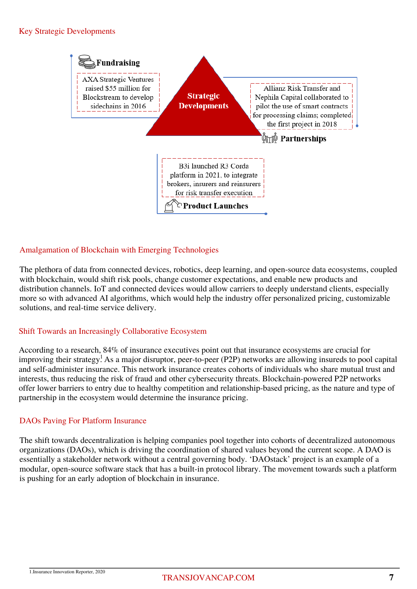#### Key Strategic Developments



#### Amalgamation of Blockchain with Emerging Technologies

The plethora of data from connected devices, robotics, deep learning, and open-source data ecosystems, coupled with blockchain, would shift risk pools, change customer expectations, and enable new products and distribution channels. IoT and connected devices would allow carriers to deeply understand clients, especially more so with advanced AI algorithms, which would help the industry offer personalized pricing, customizable solutions, and real-time service delivery.

#### Shift Towards an Increasingly Collaborative Ecosystem

According to a research, 84% of insurance executives point out that insurance ecosystems are crucial for improving their strategy! As a major disruptor, peer-to-peer (P2P) networks are allowing insureds to pool capital and self-administer insurance. This network insurance creates cohorts of individuals who share mutual trust and interests, thus reducing the risk of fraud and other cybersecurity threats. Blockchain-powered P2P networks offer lower barriers to entry due to healthy competition and relationship-based pricing, as the nature and type of partnership in the ecosystem would determine the insurance pricing.

#### DAOs Paving For Platform Insurance

The shift towards decentralization is helping companies pool together into cohorts of decentralized autonomous organizations (DAOs), which is driving the coordination of shared values beyond the current scope. A DAO is essentially a stakeholder network without a central governing body. 'DAOstack' project is an example of a modular, open-source software stack that has a built-in protocol library. The movement towards such a platform is pushing for an early adoption of blockchain in insurance.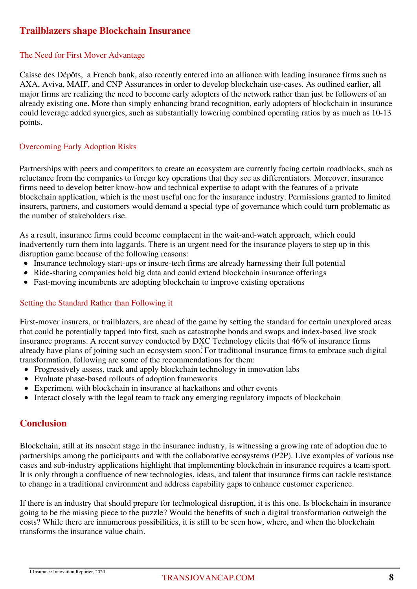# **Trailblazers shape Blockchain Insurance**

#### The Need for First Mover Advantage

Caisse des Dépôts, a French bank, also recently entered into an alliance with leading insurance firms such as AXA, Aviva, MAIF, and CNP Assurances in order to develop blockchain use-cases. As outlined earlier, all major firms are realizing the need to become early adopters of the network rather than just be followers of an already existing one. More than simply enhancing brand recognition, early adopters of blockchain in insurance could leverage added synergies, such as substantially lowering combined operating ratios by as much as 10-13 points.

#### Overcoming Early Adoption Risks

Partnerships with peers and competitors to create an ecosystem are currently facing certain roadblocks, such as reluctance from the companies to forego key operations that they see as differentiators. Moreover, insurance firms need to develop better know-how and technical expertise to adapt with the features of a private blockchain application, which is the most useful one for the insurance industry. Permissions granted to limited insurers, partners, and customers would demand a special type of governance which could turn problematic as the number of stakeholders rise.

As a result, insurance firms could become complacent in the wait-and-watch approach, which could inadvertently turn them into laggards. There is an urgent need for the insurance players to step up in this disruption game because of the following reasons:

- Insurance technology start-ups or insure-tech firms are already harnessing their full potential
- Ride-sharing companies hold big data and could extend blockchain insurance offerings
- Fast-moving incumbents are adopting blockchain to improve existing operations

#### Setting the Standard Rather than Following it

First-mover insurers, or trailblazers, are ahead of the game by setting the standard for certain unexplored areas that could be potentially tapped into first, such as catastrophe bonds and swaps and index-based live stock insurance programs. A recent survey conducted by DXC Technology elicits that 46% of insurance firms already have plans of joining such an ecosystem soon. For traditional insurance firms to embrace such digital transformation, following are some of the recommendations for them:

- Progressively assess, track and apply blockchain technology in innovation labs
- Evaluate phase-based rollouts of adoption frameworks
- Experiment with blockchain in insurance at hackathons and other events
- Interact closely with the legal team to track any emerging regulatory impacts of blockchain

### **Conclusion**

Blockchain, still at its nascent stage in the insurance industry, is witnessing a growing rate of adoption due to partnerships among the participants and with the collaborative ecosystems (P2P). Live examples of various use cases and sub-industry applications highlight that implementing blockchain in insurance requires a team sport. It is only through a confluence of new technologies, ideas, and talent that insurance firms can tackle resistance to change in a traditional environment and address capability gaps to enhance customer experience.

If there is an industry that should prepare for technological disruption, it is this one. Is blockchain in insurance going to be the missing piece to the puzzle? Would the benefits of such a digital transformation outweigh the costs? While there are innumerous possibilities, it is still to be seen how, where, and when the blockchain transforms the insurance value chain.